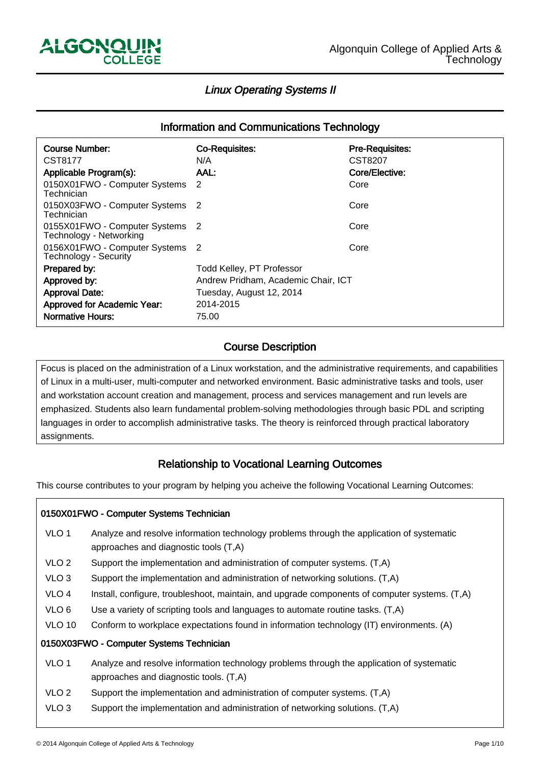-

ـا<br>ا

## Linux Operating Systems II

# Information and Communications Technology

| <b>Course Number:</b>                                           | <b>Co-Requisites:</b>               | <b>Pre-Requisites:</b> |  |
|-----------------------------------------------------------------|-------------------------------------|------------------------|--|
| CST8177                                                         | N/A                                 | CST8207                |  |
| Applicable Program(s):                                          | AAL:                                | Core/Elective:         |  |
| 0150X01FWO - Computer Systems<br>Technician                     | -2                                  | Core                   |  |
| 0150X03FWO - Computer Systems 2<br>Technician                   |                                     | Core                   |  |
| 0155X01FWO - Computer Systems 2<br>Technology - Networking      |                                     | Core                   |  |
| 0156X01FWO - Computer Systems 2<br><b>Technology - Security</b> |                                     | Core                   |  |
| Prepared by:                                                    | <b>Todd Kelley, PT Professor</b>    |                        |  |
| Approved by:                                                    | Andrew Pridham, Academic Chair, ICT |                        |  |
| <b>Approval Date:</b>                                           | Tuesday, August 12, 2014            |                        |  |
| Approved for Academic Year:                                     | 2014-2015                           |                        |  |
| <b>Normative Hours:</b>                                         | 75.00                               |                        |  |
|                                                                 |                                     |                        |  |

#### Course Description ľ

Focus is placed on the administration of a Linux workstation, and the administrative requirements, and capabilities of Linux in a multi-user, multi-computer and networked environment. Basic administrative tasks and tools, user and workstation account creation and management, process and services management and run levels are emphasized. Students also learn fundamental problem-solving methodologies through basic PDL and scripting languages in order to accomplish administrative tasks. The theory is reinforced through practical laboratory assignments.

#### Relationship to Vocational Learning Outcomes Ï

This course contributes to your program by helping you acheive the following Vocational Learning Outcomes:

|                                          | 0150X01FWO - Computer Systems Technician                                                                                            |  |  |
|------------------------------------------|-------------------------------------------------------------------------------------------------------------------------------------|--|--|
| VLO <sub>1</sub>                         | Analyze and resolve information technology problems through the application of systematic<br>approaches and diagnostic tools (T,A)  |  |  |
| VLO <sub>2</sub>                         | Support the implementation and administration of computer systems. (T,A)                                                            |  |  |
| VLO <sub>3</sub>                         | Support the implementation and administration of networking solutions. (T,A)                                                        |  |  |
| VLO <sub>4</sub>                         | Install, configure, troubleshoot, maintain, and upgrade components of computer systems. (T,A)                                       |  |  |
| VLO <sub>6</sub>                         | Use a variety of scripting tools and languages to automate routine tasks. (T,A)                                                     |  |  |
| <b>VLO 10</b>                            | Conform to workplace expectations found in information technology (IT) environments. (A)                                            |  |  |
| 0150X03FWO - Computer Systems Technician |                                                                                                                                     |  |  |
| VLO <sub>1</sub>                         | Analyze and resolve information technology problems through the application of systematic<br>approaches and diagnostic tools. (T,A) |  |  |
| VLO <sub>2</sub>                         | Support the implementation and administration of computer systems. (T,A)                                                            |  |  |
| VLO <sub>3</sub>                         | Support the implementation and administration of networking solutions. (T,A)                                                        |  |  |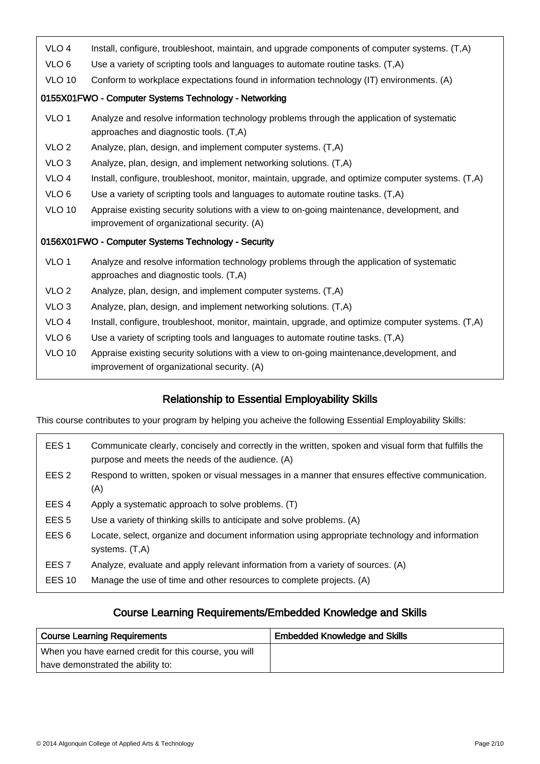| VLO <sub>4</sub>                                      | Install, configure, troubleshoot, maintain, and upgrade components of computer systems. (T,A)                                             |  |  |
|-------------------------------------------------------|-------------------------------------------------------------------------------------------------------------------------------------------|--|--|
| VLO <sub>6</sub>                                      | Use a variety of scripting tools and languages to automate routine tasks. (T,A)                                                           |  |  |
| <b>VLO 10</b>                                         | Conform to workplace expectations found in information technology (IT) environments. (A)                                                  |  |  |
| 0155X01FWO - Computer Systems Technology - Networking |                                                                                                                                           |  |  |
| VLO <sub>1</sub>                                      | Analyze and resolve information technology problems through the application of systematic<br>approaches and diagnostic tools. (T,A)       |  |  |
| VLO <sub>2</sub>                                      | Analyze, plan, design, and implement computer systems. (T,A)                                                                              |  |  |
| VLO <sub>3</sub>                                      | Analyze, plan, design, and implement networking solutions. (T,A)                                                                          |  |  |
| VLO <sub>4</sub>                                      | Install, configure, troubleshoot, monitor, maintain, upgrade, and optimize computer systems. (T,A)                                        |  |  |
| VLO <sub>6</sub>                                      | Use a variety of scripting tools and languages to automate routine tasks. (T,A)                                                           |  |  |
| <b>VLO 10</b>                                         | Appraise existing security solutions with a view to on-going maintenance, development, and<br>improvement of organizational security. (A) |  |  |
| 0156X01FWO - Computer Systems Technology - Security   |                                                                                                                                           |  |  |
| VLO <sub>1</sub>                                      | Analyze and resolve information technology problems through the application of systematic<br>approaches and diagnostic tools. (T,A)       |  |  |
| VLO <sub>2</sub>                                      | Analyze, plan, design, and implement computer systems. (T,A)                                                                              |  |  |
| VLO <sub>3</sub>                                      | Analyze, plan, design, and implement networking solutions. (T,A)                                                                          |  |  |
| VLO <sub>4</sub>                                      | Install, configure, troubleshoot, monitor, maintain, upgrade, and optimize computer systems. (T,A)                                        |  |  |
| VLO <sub>6</sub>                                      | Use a variety of scripting tools and languages to automate routine tasks. (T,A)                                                           |  |  |
| <b>VLO 10</b>                                         | Appraise existing security solutions with a view to on-going maintenance, development, and<br>improvement of organizational security. (A) |  |  |
|                                                       |                                                                                                                                           |  |  |

#### Relationship to Essential Employability Skills ֞

This course contributes to your program by helping you acheive the following Essential Employability Skills:

| EES <sub>1</sub> | Communicate clearly, concisely and correctly in the written, spoken and visual form that fulfills the<br>purpose and meets the needs of the audience. (A) |
|------------------|-----------------------------------------------------------------------------------------------------------------------------------------------------------|
| EES <sub>2</sub> | Respond to written, spoken or visual messages in a manner that ensures effective communication.<br>(A)                                                    |
| EES <sub>4</sub> | Apply a systematic approach to solve problems. (T)                                                                                                        |
| EES <sub>5</sub> | Use a variety of thinking skills to anticipate and solve problems. (A)                                                                                    |
| EES <sub>6</sub> | Locate, select, organize and document information using appropriate technology and information<br>systems. (T,A)                                          |
| EES <sub>7</sub> | Analyze, evaluate and apply relevant information from a variety of sources. (A)                                                                           |
| <b>EES 10</b>    | Manage the use of time and other resources to complete projects. (A)                                                                                      |

#### Course Learning Requirements/Embedded Knowledge and Skills ֺ֞֝

| <b>Course Learning Requirements</b>                   | <b>Embedded Knowledge and Skills</b> |
|-------------------------------------------------------|--------------------------------------|
| When you have earned credit for this course, you will |                                      |
| have demonstrated the ability to:                     |                                      |

ـا<br>ا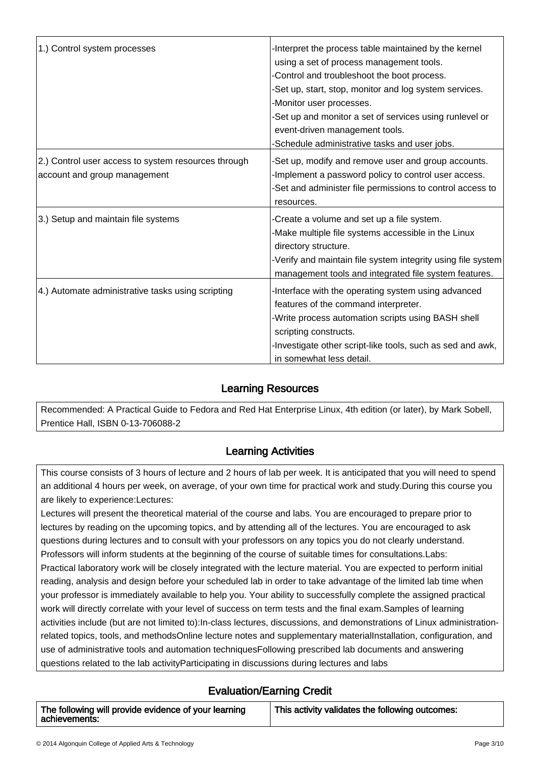| 1.) Control system processes                        | -Interpret the process table maintained by the kernel        |
|-----------------------------------------------------|--------------------------------------------------------------|
|                                                     | using a set of process management tools.                     |
|                                                     | -Control and troubleshoot the boot process.                  |
|                                                     | -Set up, start, stop, monitor and log system services.       |
|                                                     | -Monitor user processes.                                     |
|                                                     | -Set up and monitor a set of services using runlevel or      |
|                                                     | event-driven management tools.                               |
|                                                     | -Schedule administrative tasks and user jobs.                |
| 2.) Control user access to system resources through | -Set up, modify and remove user and group accounts.          |
| account and group management                        | -Implement a password policy to control user access.         |
|                                                     | -Set and administer file permissions to control access to    |
|                                                     | resources.                                                   |
| 3.) Setup and maintain file systems                 | -Create a volume and set up a file system.                   |
|                                                     | -Make multiple file systems accessible in the Linux          |
|                                                     | directory structure.                                         |
|                                                     | -Verify and maintain file system integrity using file system |
|                                                     | management tools and integrated file system features.        |
| 4.) Automate administrative tasks using scripting   | -Interface with the operating system using advanced          |
|                                                     | features of the command interpreter.                         |
|                                                     | -Write process automation scripts using BASH shell           |
|                                                     | scripting constructs.                                        |
|                                                     | -Investigate other script-like tools, such as sed and awk,   |
|                                                     | in somewhat less detail.                                     |

#### Learning Resources I,

Recommended: A Practical Guide to Fedora and Red Hat Enterprise Linux, 4th edition (or later), by Mark Sobell, Prentice Hall, ISBN 0-13-706088-2

#### Learning Activities I

This course consists of 3 hours of lecture and 2 hours of lab per week. It is anticipated that you will need to spend an additional 4 hours per week, on average, of your own time for practical work and study.During this course you are likely to experience:Lectures:

Lectures will present the theoretical material of the course and labs. You are encouraged to prepare prior to lectures by reading on the upcoming topics, and by attending all of the lectures. You are encouraged to ask questions during lectures and to consult with your professors on any topics you do not clearly understand. Professors will inform students at the beginning of the course of suitable times for consultations.Labs: Practical laboratory work will be closely integrated with the lecture material. You are expected to perform initial reading, analysis and design before your scheduled lab in order to take advantage of the limited lab time when your professor is immediately available to help you. Your ability to successfully complete the assigned practical work will directly correlate with your level of success on term tests and the final exam.Samples of learning activities include (but are not limited to):In-class lectures, discussions, and demonstrations of Linux administrationrelated topics, tools, and methodsOnline lecture notes and supplementary materialInstallation, configuration, and use of administrative tools and automation techniquesFollowing prescribed lab documents and answering questions related to the lab activityParticipating in discussions during lectures and labs

#### Evaluation/Earning Credit .<br>۳

| The following will provide evidence of your learning<br>This activity validates the following outcomes:<br>achievements: |  |
|--------------------------------------------------------------------------------------------------------------------------|--|
|--------------------------------------------------------------------------------------------------------------------------|--|

└<br>│

ـا<br>ا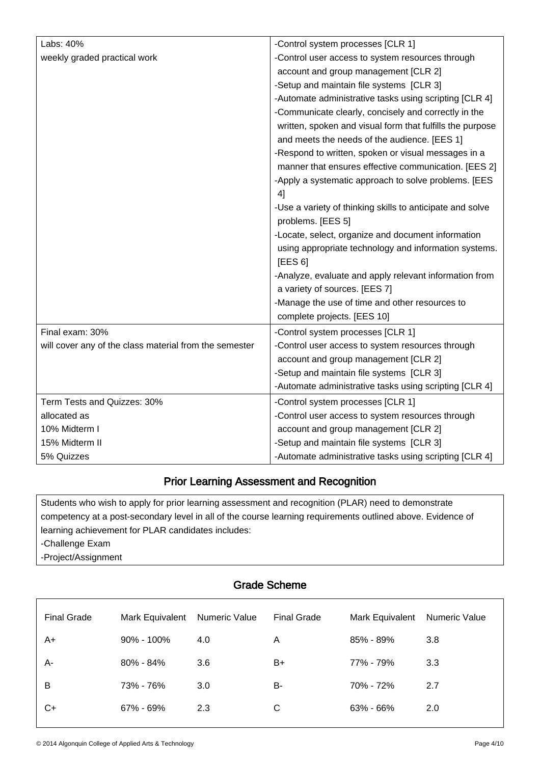| Labs: 40%                                              | -Control system processes [CLR 1]                         |
|--------------------------------------------------------|-----------------------------------------------------------|
| weekly graded practical work                           | -Control user access to system resources through          |
|                                                        | account and group management [CLR 2]                      |
|                                                        | -Setup and maintain file systems [CLR 3]                  |
|                                                        | -Automate administrative tasks using scripting [CLR 4]    |
|                                                        | -Communicate clearly, concisely and correctly in the      |
|                                                        | written, spoken and visual form that fulfills the purpose |
|                                                        | and meets the needs of the audience. [EES 1]              |
|                                                        | -Respond to written, spoken or visual messages in a       |
|                                                        | manner that ensures effective communication. [EES 2]      |
|                                                        | -Apply a systematic approach to solve problems. [EES      |
|                                                        | 4]                                                        |
|                                                        | -Use a variety of thinking skills to anticipate and solve |
|                                                        | problems. [EES 5]                                         |
|                                                        | -Locate, select, organize and document information        |
|                                                        | using appropriate technology and information systems.     |
|                                                        | [EES 6]                                                   |
|                                                        | -Analyze, evaluate and apply relevant information from    |
|                                                        | a variety of sources. [EES 7]                             |
|                                                        | -Manage the use of time and other resources to            |
|                                                        | complete projects. [EES 10]                               |
| Final exam: 30%                                        | -Control system processes [CLR 1]                         |
| will cover any of the class material from the semester | -Control user access to system resources through          |
|                                                        | account and group management [CLR 2]                      |
|                                                        | -Setup and maintain file systems [CLR 3]                  |
|                                                        | -Automate administrative tasks using scripting [CLR 4]    |
| Term Tests and Quizzes: 30%                            | -Control system processes [CLR 1]                         |
| allocated as                                           | -Control user access to system resources through          |
| 10% Midterm I                                          | account and group management [CLR 2]                      |
| 15% Midterm II                                         | -Setup and maintain file systems [CLR 3]                  |
| 5% Quizzes                                             | -Automate administrative tasks using scripting [CLR 4]    |

#### Prior Learning Assessment and Recognition י

Students who wish to apply for prior learning assessment and recognition (PLAR) need to demonstrate competency at a post-secondary level in all of the course learning requirements outlined above. Evidence of learning achievement for PLAR candidates includes:

-Challenge Exam

ـا<br>ا

-Project/Assignment

| <b>Grade Scheme</b> |                 |               |                    |                 |               |
|---------------------|-----------------|---------------|--------------------|-----------------|---------------|
| <b>Final Grade</b>  | Mark Equivalent | Numeric Value | <b>Final Grade</b> | Mark Equivalent | Numeric Value |
| A+                  | $90\% - 100\%$  | 4.0           | A                  | $85\% - 89\%$   | 3.8           |
| A-                  | $80\% - 84\%$   | 3.6           | B+                 | 77% - 79%       | 3.3           |
| B                   | 73% - 76%       | 3.0           | B-                 | 70% - 72%       | 2.7           |
| C+                  | 67% - 69%       | 2.3           | С                  | 63% - 66%       | 2.0           |
|                     |                 |               |                    |                 |               |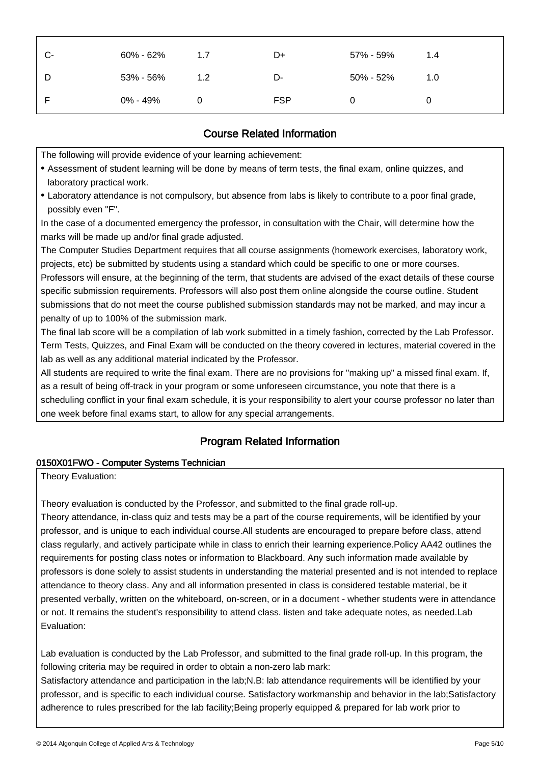| 0% - 49%<br>0          | <b>FSP</b> | 0         |     |
|------------------------|------------|-----------|-----|
| 53% - 56%<br>1.2<br>D  | D-         | 50% - 52% | 1.0 |
| 60% - 62%<br>C-<br>1.7 | D+         | 57% - 59% | 1.4 |

#### Course Related Information Ĭ

The following will provide evidence of your learning achievement:

- Assessment of student learning will be done by means of term tests, the final exam, online quizzes, and laboratory practical work.
- Laboratory attendance is not compulsory, but absence from labs is likely to contribute to a poor final grade, possibly even "F".

In the case of a documented emergency the professor, in consultation with the Chair, will determine how the marks will be made up and/or final grade adjusted.

The Computer Studies Department requires that all course assignments (homework exercises, laboratory work, projects, etc) be submitted by students using a standard which could be specific to one or more courses.

Professors will ensure, at the beginning of the term, that students are advised of the exact details of these course specific submission requirements. Professors will also post them online alongside the course outline. Student submissions that do not meet the course published submission standards may not be marked, and may incur a penalty of up to 100% of the submission mark.

The final lab score will be a compilation of lab work submitted in a timely fashion, corrected by the Lab Professor. Term Tests, Quizzes, and Final Exam will be conducted on the theory covered in lectures, material covered in the lab as well as any additional material indicated by the Professor.

All students are required to write the final exam. There are no provisions for "making up" a missed final exam. If, as a result of being off-track in your program or some unforeseen circumstance, you note that there is a scheduling conflict in your final exam schedule, it is your responsibility to alert your course professor no later than one week before final exams start, to allow for any special arrangements.

#### Program Related Information Ï

### 0150X01FWO - Computer Systems Technician

Theory Evaluation:

İ

Theory evaluation is conducted by the Professor, and submitted to the final grade roll-up.

Theory attendance, in-class quiz and tests may be a part of the course requirements, will be identified by your professor, and is unique to each individual course.All students are encouraged to prepare before class, attend class regularly, and actively participate while in class to enrich their learning experience.Policy AA42 outlines the requirements for posting class notes or information to Blackboard. Any such information made available by professors is done solely to assist students in understanding the material presented and is not intended to replace attendance to theory class. Any and all information presented in class is considered testable material, be it presented verbally, written on the whiteboard, on-screen, or in a document - whether students were in attendance or not. It remains the student's responsibility to attend class. listen and take adequate notes, as needed.Lab Evaluation:

Lab evaluation is conducted by the Lab Professor, and submitted to the final grade roll-up. In this program, the following criteria may be required in order to obtain a non-zero lab mark:

Satisfactory attendance and participation in the lab;N.B: lab attendance requirements will be identified by your professor, and is specific to each individual course. Satisfactory workmanship and behavior in the lab;Satisfactory adherence to rules prescribed for the lab facility;Being properly equipped & prepared for lab work prior to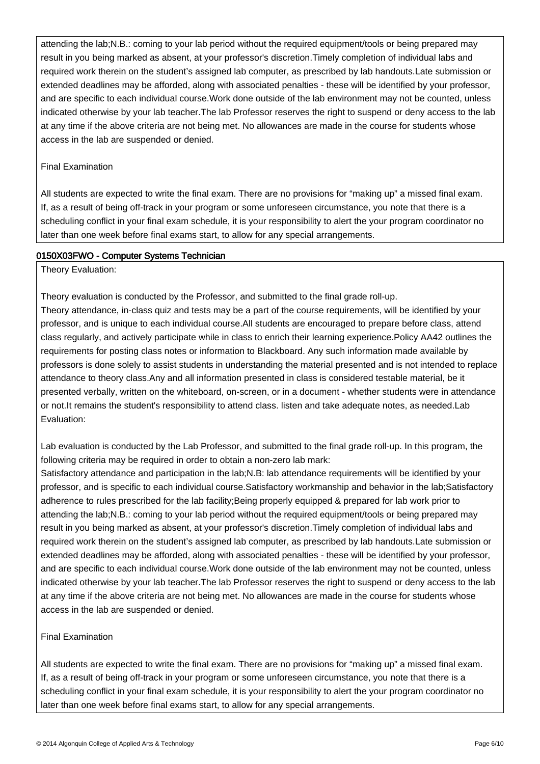attending the lab;N.B.: coming to your lab period without the required equipment/tools or being prepared may result in you being marked as absent, at your professor's discretion.Timely completion of individual labs and required work therein on the student's assigned lab computer, as prescribed by lab handouts.Late submission or extended deadlines may be afforded, along with associated penalties - these will be identified by your professor, and are specific to each individual course.Work done outside of the lab environment may not be counted, unless indicated otherwise by your lab teacher.The lab Professor reserves the right to suspend or deny access to the lab at any time if the above criteria are not being met. No allowances are made in the course for students whose access in the lab are suspended or denied.

### Final Examination

All students are expected to write the final exam. There are no provisions for "making up" a missed final exam. If, as a result of being off-track in your program or some unforeseen circumstance, you note that there is a scheduling conflict in your final exam schedule, it is your responsibility to alert the your program coordinator no later than one week before final exams start, to allow for any special arrangements.

### 0150X03FWO - Computer Systems Technician

Theory Evaluation:

Theory evaluation is conducted by the Professor, and submitted to the final grade roll-up. Theory attendance, in-class quiz and tests may be a part of the course requirements, will be identified by your professor, and is unique to each individual course.All students are encouraged to prepare before class, attend class regularly, and actively participate while in class to enrich their learning experience.Policy AA42 outlines the requirements for posting class notes or information to Blackboard. Any such information made available by professors is done solely to assist students in understanding the material presented and is not intended to replace attendance to theory class.Any and all information presented in class is considered testable material, be it

presented verbally, written on the whiteboard, on-screen, or in a document - whether students were in attendance or not.It remains the student's responsibility to attend class. listen and take adequate notes, as needed.Lab Evaluation:

Lab evaluation is conducted by the Lab Professor, and submitted to the final grade roll-up. In this program, the following criteria may be required in order to obtain a non-zero lab mark:

Satisfactory attendance and participation in the lab;N.B: lab attendance requirements will be identified by your professor, and is specific to each individual course.Satisfactory workmanship and behavior in the lab;Satisfactory adherence to rules prescribed for the lab facility;Being properly equipped & prepared for lab work prior to attending the lab;N.B.: coming to your lab period without the required equipment/tools or being prepared may result in you being marked as absent, at your professor's discretion.Timely completion of individual labs and required work therein on the student's assigned lab computer, as prescribed by lab handouts.Late submission or extended deadlines may be afforded, along with associated penalties - these will be identified by your professor, and are specific to each individual course.Work done outside of the lab environment may not be counted, unless indicated otherwise by your lab teacher.The lab Professor reserves the right to suspend or deny access to the lab at any time if the above criteria are not being met. No allowances are made in the course for students whose access in the lab are suspended or denied.

#### Final Examination

All students are expected to write the final exam. There are no provisions for "making up" a missed final exam. If, as a result of being off-track in your program or some unforeseen circumstance, you note that there is a scheduling conflict in your final exam schedule, it is your responsibility to alert the your program coordinator no later than one week before final exams start, to allow for any special arrangements.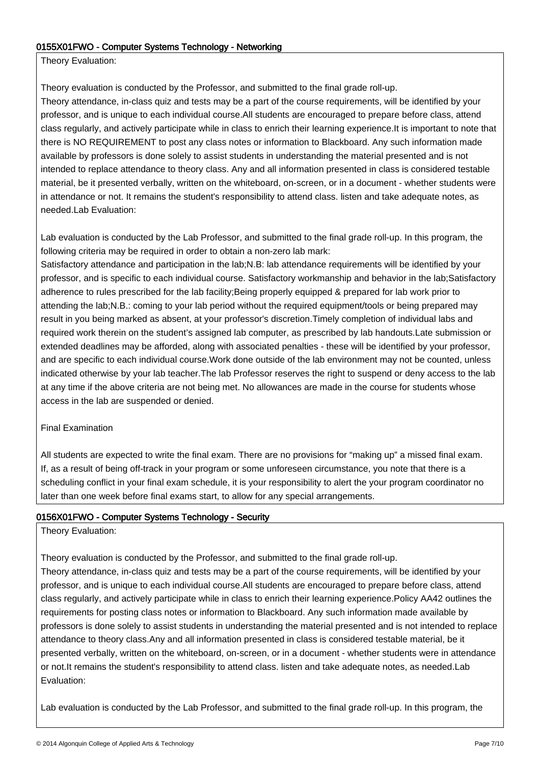### 0155X01FWO - Computer Systems Technology - Networking

Theory Evaluation:

Theory evaluation is conducted by the Professor, and submitted to the final grade roll-up. Theory attendance, in-class quiz and tests may be a part of the course requirements, will be identified by your professor, and is unique to each individual course.All students are encouraged to prepare before class, attend class regularly, and actively participate while in class to enrich their learning experience.It is important to note that there is NO REQUIREMENT to post any class notes or information to Blackboard. Any such information made available by professors is done solely to assist students in understanding the material presented and is not intended to replace attendance to theory class. Any and all information presented in class is considered testable material, be it presented verbally, written on the whiteboard, on-screen, or in a document - whether students were in attendance or not. It remains the student's responsibility to attend class. listen and take adequate notes, as needed.Lab Evaluation:

Lab evaluation is conducted by the Lab Professor, and submitted to the final grade roll-up. In this program, the following criteria may be required in order to obtain a non-zero lab mark:

Satisfactory attendance and participation in the lab;N.B: lab attendance requirements will be identified by your professor, and is specific to each individual course. Satisfactory workmanship and behavior in the lab;Satisfactory adherence to rules prescribed for the lab facility;Being properly equipped & prepared for lab work prior to attending the lab;N.B.: coming to your lab period without the required equipment/tools or being prepared may result in you being marked as absent, at your professor's discretion.Timely completion of individual labs and required work therein on the student's assigned lab computer, as prescribed by lab handouts.Late submission or extended deadlines may be afforded, along with associated penalties - these will be identified by your professor, and are specific to each individual course.Work done outside of the lab environment may not be counted, unless indicated otherwise by your lab teacher.The lab Professor reserves the right to suspend or deny access to the lab at any time if the above criteria are not being met. No allowances are made in the course for students whose access in the lab are suspended or denied.

### Final Examination

All students are expected to write the final exam. There are no provisions for "making up" a missed final exam. If, as a result of being off-track in your program or some unforeseen circumstance, you note that there is a scheduling conflict in your final exam schedule, it is your responsibility to alert the your program coordinator no later than one week before final exams start, to allow for any special arrangements.

### 0156X01FWO - Computer Systems Technology - Security

Theory Evaluation:

Theory evaluation is conducted by the Professor, and submitted to the final grade roll-up.

Theory attendance, in-class quiz and tests may be a part of the course requirements, will be identified by your professor, and is unique to each individual course.All students are encouraged to prepare before class, attend class regularly, and actively participate while in class to enrich their learning experience.Policy AA42 outlines the requirements for posting class notes or information to Blackboard. Any such information made available by professors is done solely to assist students in understanding the material presented and is not intended to replace attendance to theory class.Any and all information presented in class is considered testable material, be it presented verbally, written on the whiteboard, on-screen, or in a document - whether students were in attendance or not.It remains the student's responsibility to attend class. listen and take adequate notes, as needed.Lab Evaluation:

Lab evaluation is conducted by the Lab Professor, and submitted to the final grade roll-up. In this program, the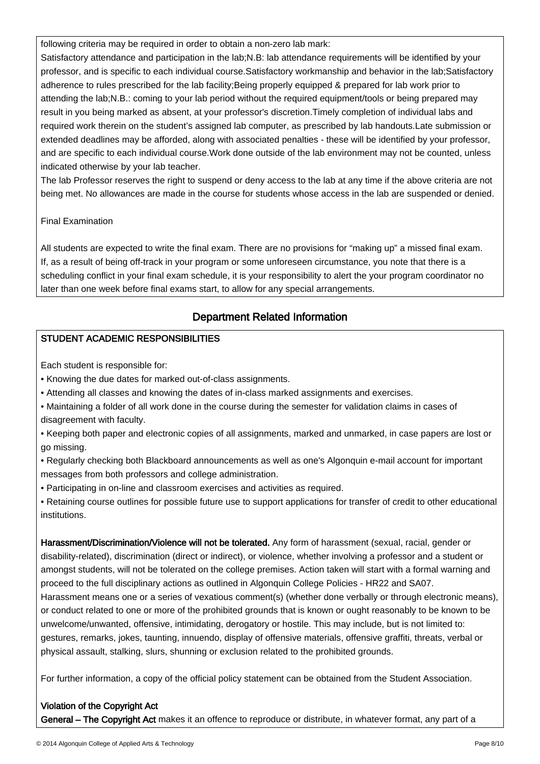following criteria may be required in order to obtain a non-zero lab mark:

Satisfactory attendance and participation in the lab;N.B: lab attendance requirements will be identified by your professor, and is specific to each individual course.Satisfactory workmanship and behavior in the lab;Satisfactory adherence to rules prescribed for the lab facility;Being properly equipped & prepared for lab work prior to attending the lab;N.B.: coming to your lab period without the required equipment/tools or being prepared may result in you being marked as absent, at your professor's discretion.Timely completion of individual labs and required work therein on the student's assigned lab computer, as prescribed by lab handouts.Late submission or extended deadlines may be afforded, along with associated penalties - these will be identified by your professor, and are specific to each individual course.Work done outside of the lab environment may not be counted, unless indicated otherwise by your lab teacher.

The lab Professor reserves the right to suspend or deny access to the lab at any time if the above criteria are not being met. No allowances are made in the course for students whose access in the lab are suspended or denied.

### Final Examination

İ

All students are expected to write the final exam. There are no provisions for "making up" a missed final exam. If, as a result of being off-track in your program or some unforeseen circumstance, you note that there is a scheduling conflict in your final exam schedule, it is your responsibility to alert the your program coordinator no later than one week before final exams start, to allow for any special arrangements.

#### Department Related Information Ì

### STUDENT ACADEMIC RESPONSIBILITIES

Each student is responsible for:

- Knowing the due dates for marked out-of-class assignments.
- Attending all classes and knowing the dates of in-class marked assignments and exercises.
- Maintaining a folder of all work done in the course during the semester for validation claims in cases of disagreement with faculty.
- Keeping both paper and electronic copies of all assignments, marked and unmarked, in case papers are lost or go missing.
- Regularly checking both Blackboard announcements as well as one's Algonquin e-mail account for important messages from both professors and college administration.
- Participating in on-line and classroom exercises and activities as required.
- Retaining course outlines for possible future use to support applications for transfer of credit to other educational institutions.

Harassment/Discrimination/Violence will not be tolerated. Any form of harassment (sexual, racial, gender or disability-related), discrimination (direct or indirect), or violence, whether involving a professor and a student or amongst students, will not be tolerated on the college premises. Action taken will start with a formal warning and proceed to the full disciplinary actions as outlined in Algonquin College Policies - HR22 and SA07. Harassment means one or a series of vexatious comment(s) (whether done verbally or through electronic means), or conduct related to one or more of the prohibited grounds that is known or ought reasonably to be known to be unwelcome/unwanted, offensive, intimidating, derogatory or hostile. This may include, but is not limited to: gestures, remarks, jokes, taunting, innuendo, display of offensive materials, offensive graffiti, threats, verbal or physical assault, stalking, slurs, shunning or exclusion related to the prohibited grounds.

For further information, a copy of the official policy statement can be obtained from the Student Association.

### Violation of the Copyright Act

General – The Copyright Act makes it an offence to reproduce or distribute, in whatever format, any part of a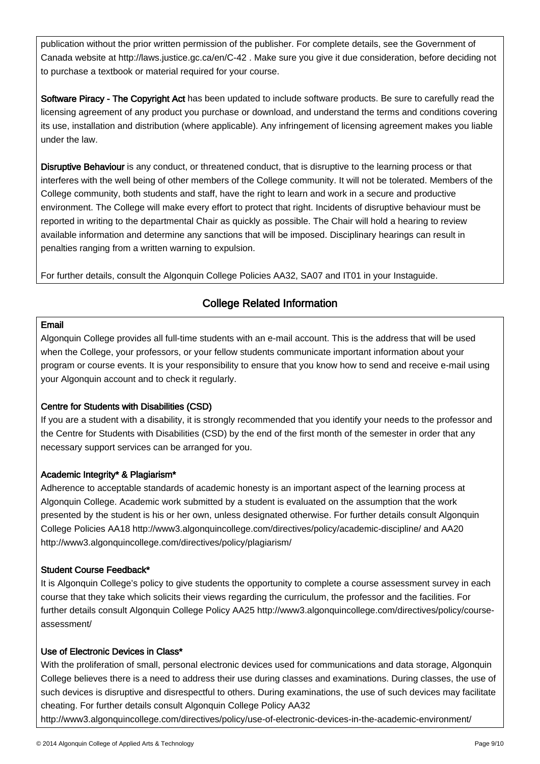publication without the prior written permission of the publisher. For complete details, see the Government of Canada website at http://laws.justice.gc.ca/en/C-42 . Make sure you give it due consideration, before deciding not to purchase a textbook or material required for your course.

Software Piracy - The Copyright Act has been updated to include software products. Be sure to carefully read the licensing agreement of any product you purchase or download, and understand the terms and conditions covering its use, installation and distribution (where applicable). Any infringement of licensing agreement makes you liable under the law.

Disruptive Behaviour is any conduct, or threatened conduct, that is disruptive to the learning process or that interferes with the well being of other members of the College community. It will not be tolerated. Members of the College community, both students and staff, have the right to learn and work in a secure and productive environment. The College will make every effort to protect that right. Incidents of disruptive behaviour must be reported in writing to the departmental Chair as quickly as possible. The Chair will hold a hearing to review available information and determine any sanctions that will be imposed. Disciplinary hearings can result in penalties ranging from a written warning to expulsion.

For further details, consult the Algonquin College Policies AA32, SA07 and IT01 in your Instaguide.

#### College Related Information Ì

### Email

İ

Algonquin College provides all full-time students with an e-mail account. This is the address that will be used when the College, your professors, or your fellow students communicate important information about your program or course events. It is your responsibility to ensure that you know how to send and receive e-mail using your Algonquin account and to check it regularly.

### Centre for Students with Disabilities (CSD)

If you are a student with a disability, it is strongly recommended that you identify your needs to the professor and the Centre for Students with Disabilities (CSD) by the end of the first month of the semester in order that any necessary support services can be arranged for you.

### Academic Integrity\* & Plagiarism\*

Adherence to acceptable standards of academic honesty is an important aspect of the learning process at Algonquin College. Academic work submitted by a student is evaluated on the assumption that the work presented by the student is his or her own, unless designated otherwise. For further details consult Algonquin College Policies AA18 http://www3.algonquincollege.com/directives/policy/academic-discipline/ and AA20 http://www3.algonquincollege.com/directives/policy/plagiarism/

### Student Course Feedback\*

It is Algonquin College's policy to give students the opportunity to complete a course assessment survey in each course that they take which solicits their views regarding the curriculum, the professor and the facilities. For further details consult Algonquin College Policy AA25 http://www3.algonquincollege.com/directives/policy/courseassessment/

### Use of Electronic Devices in Class\*

With the proliferation of small, personal electronic devices used for communications and data storage, Algonquin College believes there is a need to address their use during classes and examinations. During classes, the use of such devices is disruptive and disrespectful to others. During examinations, the use of such devices may facilitate cheating. For further details consult Algonquin College Policy AA32

http://www3.algonquincollege.com/directives/policy/use-of-electronic-devices-in-the-academic-environment/